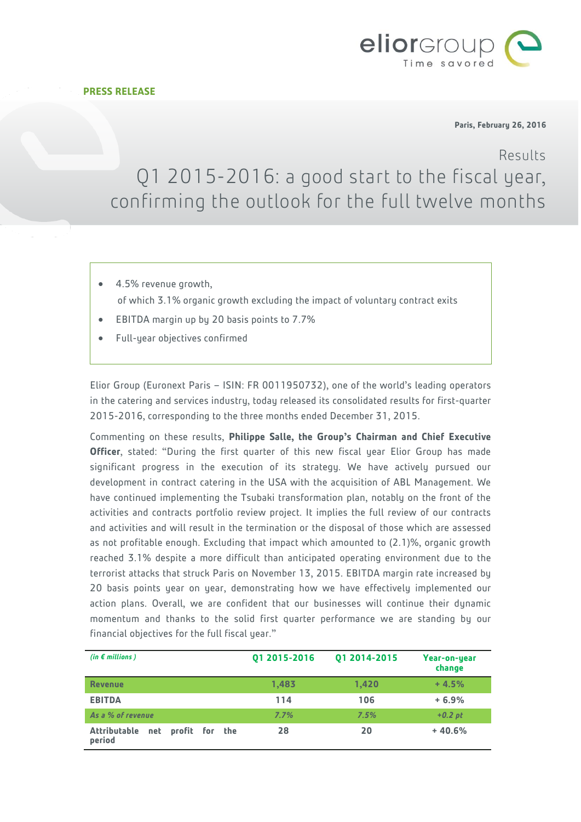



**Paris, February 26, 2016**

Results

# Q1 2015-2016: a good start to the fiscal year, confirming the outlook for the full twelve months

- 4.5% revenue growth, of which 3.1% organic growth excluding the impact of voluntary contract exits
- EBITDA margin up by 20 basis points to 7.7%
- Full-year objectives confirmed

Elior Group (Euronext Paris – ISIN: FR 0011950732), one of the world's leading operators in the catering and services industry, today released its consolidated results for first-quarter 2015-2016, corresponding to the three months ended December 31, 2015.

Commenting on these results, **Philippe Salle, the Group's Chairman and Chief Executive Officer**, stated: "During the first quarter of this new fiscal year Elior Group has made significant progress in the execution of its strategy. We have actively pursued our development in contract catering in the USA with the acquisition of ABL Management. We have continued implementing the Tsubaki transformation plan, notably on the front of the activities and contracts portfolio review project. It implies the full review of our contracts and activities and will result in the termination or the disposal of those which are assessed as not profitable enough. Excluding that impact which amounted to (2.1)%, organic growth reached 3.1% despite a more difficult than anticipated operating environment due to the terrorist attacks that struck Paris on November 13, 2015. EBITDA margin rate increased by 20 basis points year on year, demonstrating how we have effectively implemented our action plans. Overall, we are confident that our businesses will continue their dynamic momentum and thanks to the solid first quarter performance we are standing by our financial objectives for the full fiscal year."

| (in $\epsilon$ millions)                            | 01 2015-2016 | Q1 2014-2015 | Year-on-year<br>change |
|-----------------------------------------------------|--------------|--------------|------------------------|
| <b>Revenue</b>                                      | 1,483        | 1,420        | $+4.5%$                |
| <b>EBITDA</b>                                       | 114          | 106          | $+6.9%$                |
| As a % of revenue                                   | 7.7%         | 7.5%         | $+0.2$ pt              |
| <b>Attributable</b><br>net profit for the<br>period | 28           | 20           | $+40.6%$               |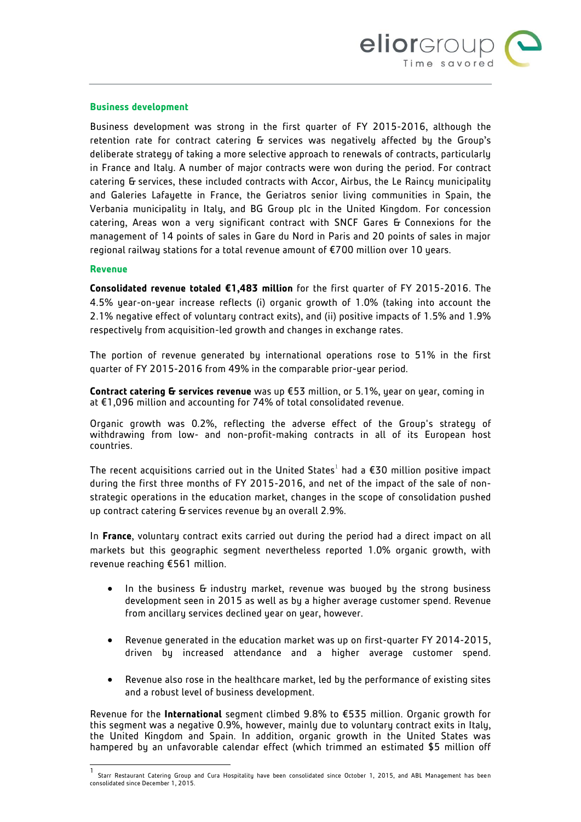

#### **Business development**

Business development was strong in the first quarter of FY 2015-2016, although the retention rate for contract catering G services was negatively affected by the Group's deliberate strategy of taking a more selective approach to renewals of contracts, particularly in France and Italy. A number of major contracts were won during the period. For contract catering & services, these included contracts with Accor, Airbus, the Le Raincy municipality and Galeries Lafayette in France, the Geriatros senior living communities in Spain, the Verbania municipality in Italy, and BG Group plc in the United Kingdom. For concession catering, Areas won a very significant contract with SNCF Gares & Connexions for the management of 14 points of sales in Gare du Nord in Paris and 20 points of sales in major regional railway stations for a total revenue amount of €700 million over 10 years.

#### **Revenue**

 $\overline{\phantom{a}}$ 

**Consolidated revenue totaled €1,483 million** for the first quarter of FY 2015-2016. The 4.5% year-on-year increase reflects (i) organic growth of 1.0% (taking into account the 2.1% negative effect of voluntary contract exits), and (ii) positive impacts of 1.5% and 1.9% respectively from acquisition-led growth and changes in exchange rates.

The portion of revenue generated by international operations rose to 51% in the first quarter of FY 2015-2016 from 49% in the comparable prior-year period.

**Contract catering & services revenue** was up €53 million, or 5.1%, year on year, coming in at €1,096 million and accounting for 74% of total consolidated revenue.

Organic growth was 0.2%, reflecting the adverse effect of the Group's strategy of withdrawing from low- and non-profit-making contracts in all of its European host countries.

The recent acquisitions carried out in the United States $^1$  had a €30 million positive impact during the first three months of FY 2015-2016, and net of the impact of the sale of nonstrategic operations in the education market, changes in the scope of consolidation pushed up contract catering G services revenue by an overall 2.9%.

In **France**, voluntary contract exits carried out during the period had a direct impact on all markets but this geographic segment nevertheless reported 1.0% organic growth, with revenue reaching €561 million.

- In the business & industry market, revenue was buoyed by the strong business development seen in 2015 as well as by a higher average customer spend. Revenue from ancillary services declined year on year, however.
- Revenue generated in the education market was up on first-quarter FY 2014-2015, driven by increased attendance and a higher average customer spend.
- Revenue also rose in the healthcare market, led by the performance of existing sites and a robust level of business development.

Revenue for the **International** segment climbed 9.8% to €535 million. Organic growth for this segment was a negative 0.9%, however, mainly due to voluntary contract exits in Italy, the United Kingdom and Spain. In addition, organic growth in the United States was hampered by an unfavorable calendar effect (which trimmed an estimated \$5 million off

<sup>1</sup> Starr Restaurant Catering Group and Cura Hospitality have been consolidated since October 1, 2015, and ABL Management has been consolidated since December 1, 2015.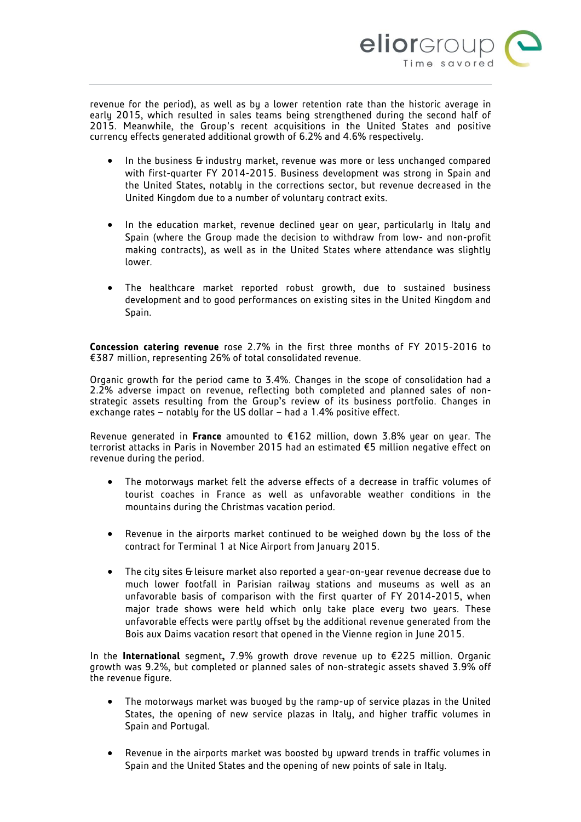

revenue for the period), as well as by a lower retention rate than the historic average in early 2015, which resulted in sales teams being strengthened during the second half of 2015. Meanwhile, the Group's recent acquisitions in the United States and positive currency effects generated additional growth of 6.2% and 4.6% respectively.

- In the business & industry market, revenue was more or less unchanged compared with first-quarter FY 2014-2015. Business development was strong in Spain and the United States, notably in the corrections sector, but revenue decreased in the United Kingdom due to a number of voluntary contract exits.
- In the education market, revenue declined year on year, particularly in Italy and Spain (where the Group made the decision to withdraw from low- and non-profit making contracts), as well as in the United States where attendance was slightly lower.
- The healthcare market reported robust growth, due to sustained business development and to good performances on existing sites in the United Kingdom and Spain.

**Concession catering revenue** rose 2.7% in the first three months of FY 2015-2016 to €387 million, representing 26% of total consolidated revenue.

Organic growth for the period came to 3.4%. Changes in the scope of consolidation had a 2.2% adverse impact on revenue, reflecting both completed and planned sales of nonstrategic assets resulting from the Group's review of its business portfolio. Changes in exchange rates – notably for the US dollar – had a 1.4% positive effect.

Revenue generated in **France** amounted to €162 million, down 3.8% year on year. The terrorist attacks in Paris in November 2015 had an estimated €5 million negative effect on revenue during the period.

- The motorways market felt the adverse effects of a decrease in traffic volumes of tourist coaches in France as well as unfavorable weather conditions in the mountains during the Christmas vacation period.
- Revenue in the airports market continued to be weighed down by the loss of the contract for Terminal 1 at Nice Airport from January 2015.
- The city sites & leisure market also reported a year-on-year revenue decrease due to much lower footfall in Parisian railway stations and museums as well as an unfavorable basis of comparison with the first quarter of FY 2014-2015, when major trade shows were held which only take place every two years. These unfavorable effects were partly offset by the additional revenue generated from the Bois aux Daims vacation resort that opened in the Vienne region in June 2015.

In the **International** segment**,** 7.9% growth drove revenue up to €225 million. Organic growth was 9.2%, but completed or planned sales of non-strategic assets shaved 3.9% off the revenue figure.

- The motorways market was buoyed by the ramp-up of service plazas in the United States, the opening of new service plazas in Italy, and higher traffic volumes in Spain and Portugal.
- Revenue in the airports market was boosted by upward trends in traffic volumes in Spain and the United States and the opening of new points of sale in Italy.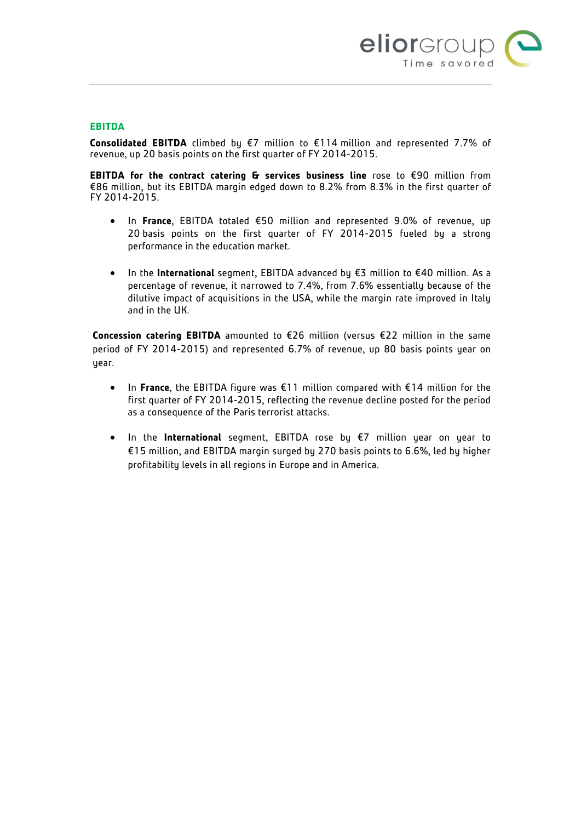

## **EBITDA**

**Consolidated EBITDA** climbed by €7 million to €114 million and represented 7.7% of revenue, up 20 basis points on the first quarter of FY 2014-2015.

**EBITDA for the contract catering & services business line** rose to €90 million from €86 million, but its EBITDA margin edged down to 8.2% from 8.3% in the first quarter of FY 2014-2015.

- In **France**, EBITDA totaled €50 million and represented 9.0% of revenue, up 20 basis points on the first quarter of FY 2014-2015 fueled by a strong performance in the education market.
- In the **International** segment, EBITDA advanced by €3 million to €40 million. As a percentage of revenue, it narrowed to 7.4%, from 7.6% essentially because of the dilutive impact of acquisitions in the USA, while the margin rate improved in Italy and in the UK.

**Concession catering EBITDA** amounted to €26 million (versus €22 million in the same period of FY 2014-2015) and represented 6.7% of revenue, up 80 basis points year on uear.

- In **France**, the EBITDA figure was €11 million compared with €14 million for the first quarter of FY 2014-2015, reflecting the revenue decline posted for the period as a consequence of the Paris terrorist attacks.
- In the **International** segment, EBITDA rose by €7 million year on year to €15 million, and EBITDA margin surged by 270 basis points to 6.6%, led by higher profitability levels in all regions in Europe and in America.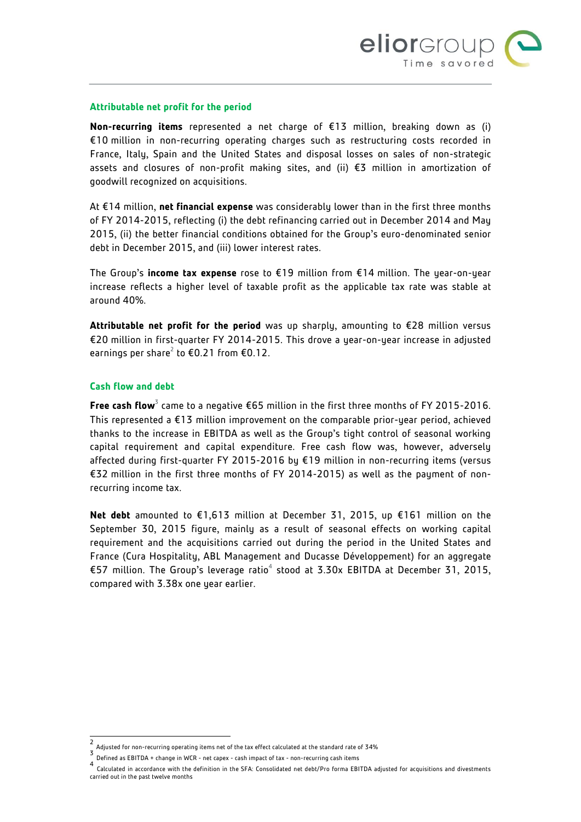

#### **Attributable net profit for the period**

**Non-recurring items** represented a net charge of €13 million, breaking down as (i) €10 million in non-recurring operating charges such as restructuring costs recorded in France, Italy, Spain and the United States and disposal losses on sales of non-strategic assets and closures of non-profit making sites, and (ii) €3 million in amortization of goodwill recognized on acquisitions.

At €14 million, **net financial expense** was considerably lower than in the first three months of FY 2014-2015, reflecting (i) the debt refinancing carried out in December 2014 and May 2015, (ii) the better financial conditions obtained for the Group's euro-denominated senior debt in December 2015, and (iii) lower interest rates.

The Group's **income tax expense** rose to €19 million from €14 million. The year-on-year increase reflects a higher level of taxable profit as the applicable tax rate was stable at around 40%.

**Attributable net profit for the period** was up sharply, amounting to €28 million versus €20 million in first-quarter FY 2014-2015. This drove a year-on-year increase in adjusted earnings per share<sup>2</sup> to  $\text{\textsterling}0.21$  from  $\text{\textsterling}0.12$ .

#### **Cash flow and debt**

 $\overline{\phantom{a}}$ 

**Free cash flow**<sup>3</sup> came to a negative €65 million in the first three months of FY 2015-2016. This represented a  $E13$  million improvement on the comparable prior-year period, achieved thanks to the increase in EBITDA as well as the Group's tight control of seasonal working capital requirement and capital expenditure. Free cash flow was, however, adversely affected during first-quarter FY 2015-2016 by €19 million in non-recurring items (versus €32 million in the first three months of FY 2014-2015) as well as the payment of nonrecurring income tax.

**Net debt** amounted to €1,613 million at December 31, 2015, up €161 million on the September 30, 2015 figure, mainly as a result of seasonal effects on working capital requirement and the acquisitions carried out during the period in the United States and France (Cura Hospitality, ABL Management and Ducasse Développement) for an aggregate €57 million. The Group's leverage ratio<sup>4</sup> stood at 3.30x EBITDA at December 31, 2015, compared with 3.38x one year earlier.

<sup>2</sup> Adjusted for non-recurring operating items net of the tax effect calculated at the standard rate of 34% 3

Defined as EBITDA + change in WCR - net capex - cash impact of tax - non-recurring cash items 4

Calculated in accordance with the definition in the SFA: Consolidated net debt/Pro forma EBITDA adjusted for acquisitions and divestments carried out in the past twelve months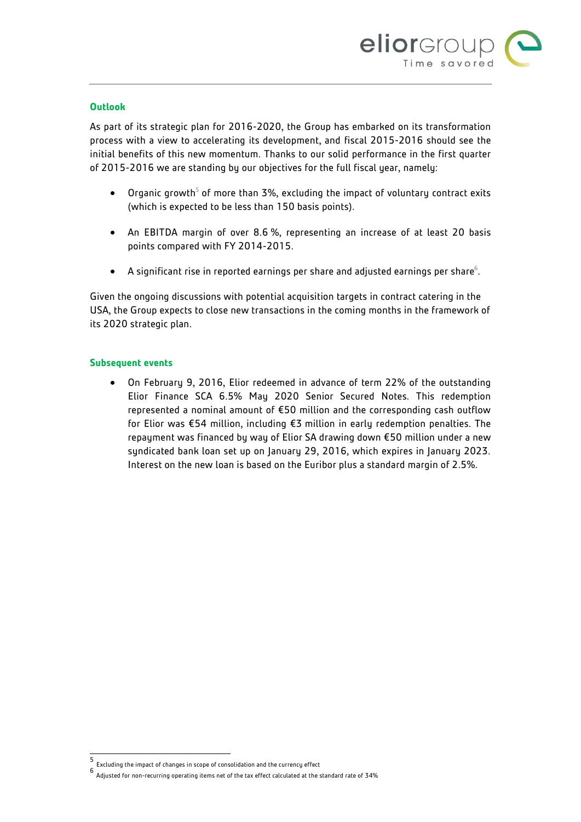

## **Outlook**

As part of its strategic plan for 2016-2020, the Group has embarked on its transformation process with a view to accelerating its development, and fiscal 2015-2016 should see the initial benefits of this new momentum. Thanks to our solid performance in the first quarter of 2015-2016 we are standing by our objectives for the full fiscal year, namely:

- $\bullet$  Organic growth<sup>5</sup> of more than 3%, excluding the impact of voluntary contract exits (which is expected to be less than 150 basis points).
- An EBITDA margin of over 8.6 %, representing an increase of at least 20 basis points compared with FY 2014-2015.
- $\bullet$  A significant rise in reported earnings per share and adjusted earnings per share $^6$ .

Given the ongoing discussions with potential acquisition targets in contract catering in the USA, the Group expects to close new transactions in the coming months in the framework of its 2020 strategic plan.

#### **Subsequent events**

 On February 9, 2016, Elior redeemed in advance of term 22% of the outstanding Elior Finance SCA 6.5% May 2020 Senior Secured Notes. This redemption represented a nominal amount of €50 million and the corresponding cash outflow for Elior was €54 million, including €3 million in early redemption penalties. The repayment was financed by way of Elior SA drawing down €50 million under a new syndicated bank loan set up on January 29, 2016, which expires in January 2023. Interest on the new loan is based on the Euribor plus a standard margin of 2.5%.

 $\overline{a}$ 

<sup>5</sup> Excluding the impact of changes in scope of consolidation and the currency effect

<sup>6</sup> Adjusted for non-recurring operating items net of the tax effect calculated at the standard rate of 34%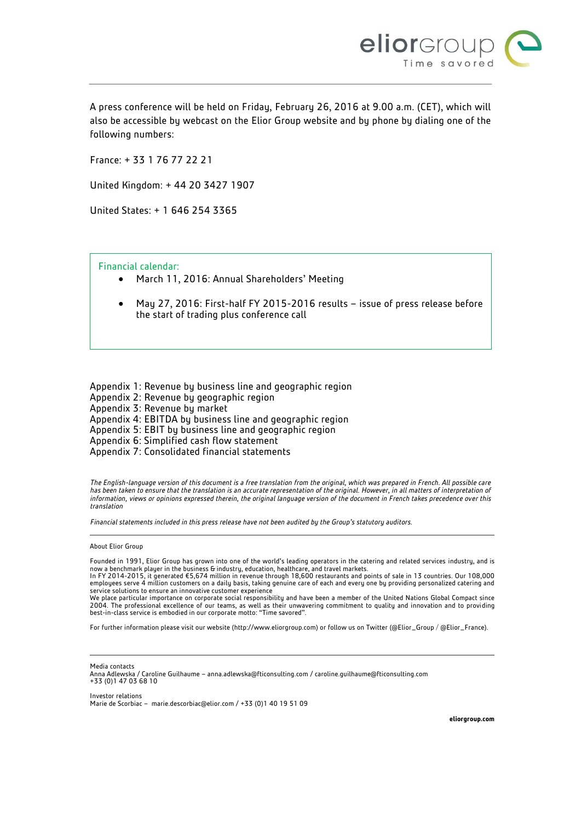

A press conference will be held on Friday, February 26, 2016 at 9.00 a.m. (CET), which will also be accessible by webcast on the Elior Group website and by phone by dialing one of the following numbers:

France: + 33 1 76 77 22 21

United Kingdom: + 44 20 3427 1907

United States: + 1 646 254 3365

Financial calendar:

- March 11, 2016: Annual Shareholders' Meeting
- May 27, 2016: First-half FY 2015-2016 results issue of press release before the start of trading plus conference call

Appendix 1: Revenue by business line and geographic region Appendix 2: Revenue by geographic region Appendix 3: Revenue by market Appendix 4: EBITDA by business line and geographic region Appendix 5: EBIT by business line and geographic region Appendix 6: Simplified cash flow statement Appendix 7: Consolidated financial statements

*The English-language version of this document is a free translation from the original, which was prepared in French. All possible care*  has been taken to ensure that the translation is an accurate representation of the original. However, in all matters of interpretation of *information, views or opinions expressed therein, the original language version of the document in French takes precedence over this translation*

*Financial statements included in this press release have not been audited by the Group's statutory auditors.*

About Elior Group

Founded in 1991, Elior Group has grown into one of the world's leading operators in the catering and related services industry, and is now a benchmark player in the business & industry, education, healthcare, and travel markets.<br>In FY 2014-2015, it generated €5,674 million in revenue through 18,600 restaurants and points of sale in 13 countries. Our 108,

employees serve 4 million customers on a daily basis, taking genuine care of each and every one by providing personalized catering and service solutions to ensure an innovative customer experience

We place particular importance on corporate social responsibility and have been a member of the United Nations Global Compact since 2004. The professional excellence of our teams, as well as their unwavering commitment to quality and innovation and to providing best-in-class service is embodied in our corporate motto: "Time savored".

For further information please visit our website [\(http://www.eliorgroup.com\)](http://www.eliorgroup.com/) or follow us on Twitter [\(@Elior\\_Group](https://twitter.com/Elior_Group) [/ @Elior\\_France\).](file://si-nas-fi3/Commun/SI-BER-BS3-COM/RELATIONS%20PRESSE/Communiqués%20de%20presse/2015/AREAS/@Elior_France)



Anna Adlewska / Caroline Guilhaume – [anna.adlewska@fticonsulting.com](mailto:anna.adlewska@fticonsulting.com) [/ caroline.guilhaume@fticonsulting.com](mailto:caroline.guilhaume@fticonsulting.com) +33 (0)1 47 03 68 10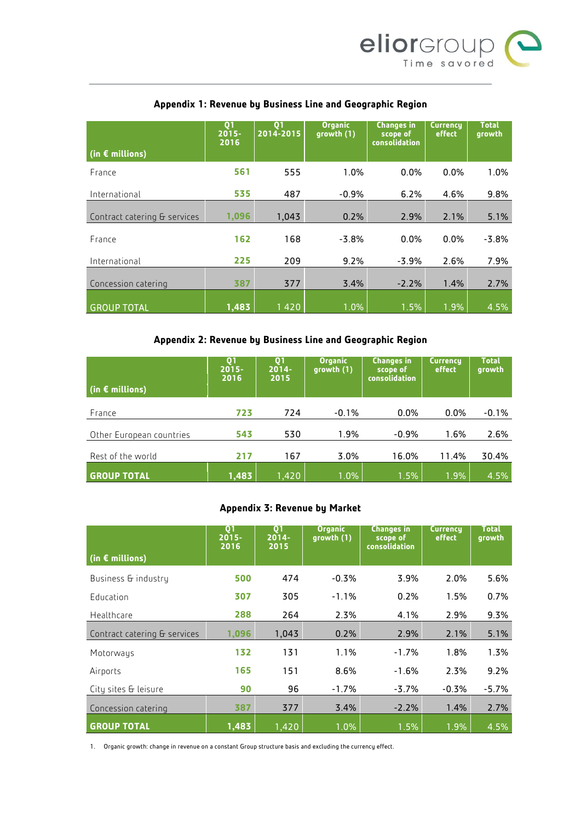

|                              | Q <sub>1</sub><br>$2015 -$<br>2016 | Q <sub>1</sub><br>2014-2015 | <b>Organic</b><br>growth (1) | <b>Changes in</b><br>scope of<br>consolidation | Currency<br>effect | <b>Total</b><br>growth |
|------------------------------|------------------------------------|-----------------------------|------------------------------|------------------------------------------------|--------------------|------------------------|
| (in $\epsilon$ millions)     |                                    |                             |                              |                                                |                    |                        |
| France                       | 561                                | 555                         | 1.0%                         | 0.0%                                           | 0.0%               | 1.0%                   |
| International                | 535                                | 487                         | $-0.9%$                      | 6.2%                                           | 4.6%               | 9.8%                   |
| Contract catering & services | 1,096                              | 1.043                       | 0.2%                         | 2.9%                                           | 2.1%               | 5.1%                   |
| France                       | 162                                | 168                         | $-3.8%$                      | 0.0%                                           | 0.0%               | $-3.8%$                |
| International                | 225                                | 209                         | 9.2%                         | $-3.9%$                                        | 2.6%               | 7.9%                   |
| Concession catering          | 387                                | 377                         | 3.4%                         | $-2.2%$                                        | 1.4%               | 2.7%                   |
| <b>GROUP TOTAL</b>           | 1,483                              | 1420                        | 1.0%                         | 1.5%                                           | 1.9%               | 4.5%                   |

# **Appendix 1: Revenue by Business Line and Geographic Region**

# **Appendix 2: Revenue by Business Line and Geographic Region**

| (in $\epsilon$ millions) | Q1<br>$2015 -$<br>2016 | Q1<br>$2014 -$<br>2015 | <b>Organic</b><br>growth (1) | <b>Changes in</b><br>scope of<br>consolidation | <b>Currency</b><br>effect | <b>Total</b><br>growth |
|--------------------------|------------------------|------------------------|------------------------------|------------------------------------------------|---------------------------|------------------------|
| France                   | 723                    | 724                    | $-0.1%$                      | $0.0\%$                                        | $0.0\%$                   | $-0.1%$                |
| Other European countries | 543                    | 530                    | 1.9%                         | $-0.9%$                                        | 1.6%                      | 2.6%                   |
| Rest of the world        | 217                    | 167                    | 3.0%                         | 16.0%                                          | 11.4%                     | 30.4%                  |
| <b>GROUP TOTAL</b>       | 1,483                  | 1,420                  | 1.0%                         | 1.5%                                           | 1.9%                      | 4.5%                   |

## **Appendix 3: Revenue by Market**

| (in $\epsilon$ millions)     | Q <sub>1</sub><br>$2015 -$<br>2016 | Q1<br>$2014 -$<br>2015 | <b>Organic</b><br>growth (1) | <b>Changes in</b><br>scope of<br>consolidation | <b>Currency</b><br>effect | <b>Total</b><br>growth |
|------------------------------|------------------------------------|------------------------|------------------------------|------------------------------------------------|---------------------------|------------------------|
| Business & industry          | 500                                | 474                    | $-0.3%$                      | 3.9%                                           | 2.0%                      | 5.6%                   |
| Education                    | 307                                | 305                    | $-1.1%$                      | 0.2%                                           | 1.5%                      | 0.7%                   |
| Healthcare                   | 288                                | 264                    | 2.3%                         | 4.1%                                           | 2.9%                      | 9.3%                   |
| Contract catering & services | 1,096                              | 1,043                  | 0.2%                         | 2.9%                                           | 2.1%                      | 5.1%                   |
| Motorways                    | 132                                | 131                    | 1.1%                         | $-1.7%$                                        | 1.8%                      | 1.3%                   |
| Airports                     | 165                                | 151                    | 8.6%                         | $-1.6%$                                        | 2.3%                      | 9.2%                   |
| City sites & leisure         | 90                                 | 96                     | $-1.7%$                      | $-3.7%$                                        | $-0.3%$                   | $-5.7%$                |
| Concession catering          | 387                                | 377                    | 3.4%                         | $-2.2%$                                        | 1.4%                      | 2.7%                   |
| <b>GROUP TOTAL</b>           | 1,483                              | 1,420                  | 1.0%                         | 1.5%                                           | 1.9%                      | 4.5%                   |

1. Organic growth: change in revenue on a constant Group structure basis and excluding the currency effect.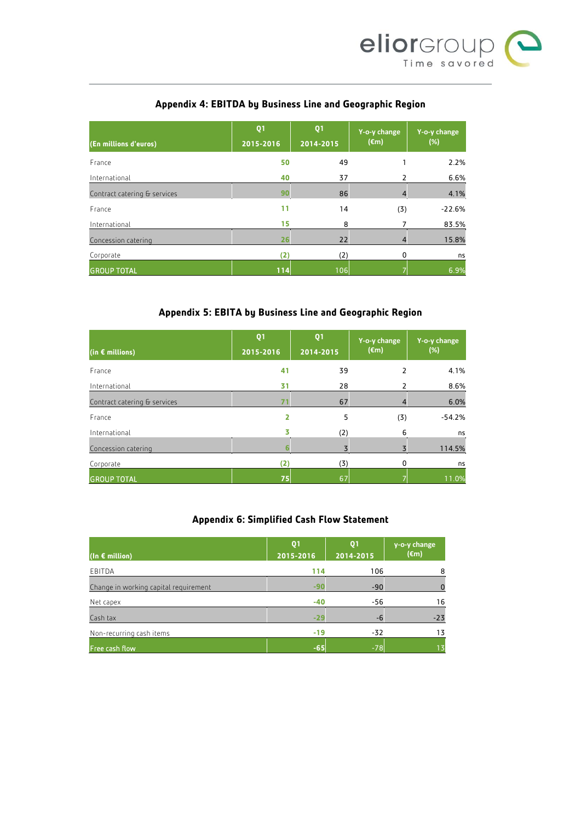

# **Appendix 4: EBITDA by Business Line and Geographic Region**

| (En millions d'euros)        | Q <sub>1</sub><br>2015-2016 | Q <sub>1</sub><br>2014-2015 | Y-o-y change<br>$(\epsilon m)$ | Y-o-y change<br>$(\%)$ |
|------------------------------|-----------------------------|-----------------------------|--------------------------------|------------------------|
| France                       | 50                          | 49                          |                                | 2.2%                   |
| International                | 40                          | 37                          |                                | 6.6%                   |
| Contract catering & services | 90                          | 86                          | 4                              | 4.1%                   |
| France                       | 11                          | 14                          | (3)                            | $-22.6%$               |
| International                | 15                          | 8                           | 7                              | 83.5%                  |
| Concession catering          | 26                          | 22                          | 4                              | 15.8%                  |
| Corporate                    | (2)                         | (2)                         | 0                              | ns                     |
| <b>GROUP TOTAL</b>           | 114                         | 106                         |                                | 6.9%                   |

# **Appendix 5: EBITA by Business Line and Geographic Region**

| $($ in € millions)           | Q <sub>1</sub><br>2015-2016 | Q <sub>1</sub><br>2014-2015 | Y-o-y change<br>$(\epsilon m)$ | Y-o-y change<br>(%) |
|------------------------------|-----------------------------|-----------------------------|--------------------------------|---------------------|
| France                       | 41                          | 39                          | 2                              | 4.1%                |
| International                | 31                          | 28                          |                                | 8.6%                |
| Contract catering & services | 71                          | 67                          | 4                              | 6.0%                |
| France                       | 2                           | 5                           | (3)                            | $-54.2%$            |
| International                |                             | (2)                         | 6                              | ns                  |
| Concession catering          |                             |                             | 3                              | 114.5%              |
| Corporate                    | (2)                         | (3)                         | 0                              | ns                  |
| <b>GROUP TOTAL</b>           | 75                          | 67                          |                                | 11.0%               |

## **Appendix 6: Simplified Cash Flow Statement**

| (In $\epsilon$ million)               | Q <sub>1</sub><br>2015-2016 | Q <sub>1</sub><br>2014-2015 | y-o-y change<br>$(\epsilon m)$ |
|---------------------------------------|-----------------------------|-----------------------------|--------------------------------|
| EBITDA                                | 114                         | 106                         | 8                              |
| Change in working capital requirement | $-90$                       | $-90$                       |                                |
| Net capex                             | $-40$                       | $-56$                       | 16                             |
| Cash tax                              | $-29$                       | -6                          | $-23$                          |
| Non-recurring cash items              | $-19$                       | $-32$                       | 13                             |
| Free cash flow                        | $-65$                       | $-78$                       |                                |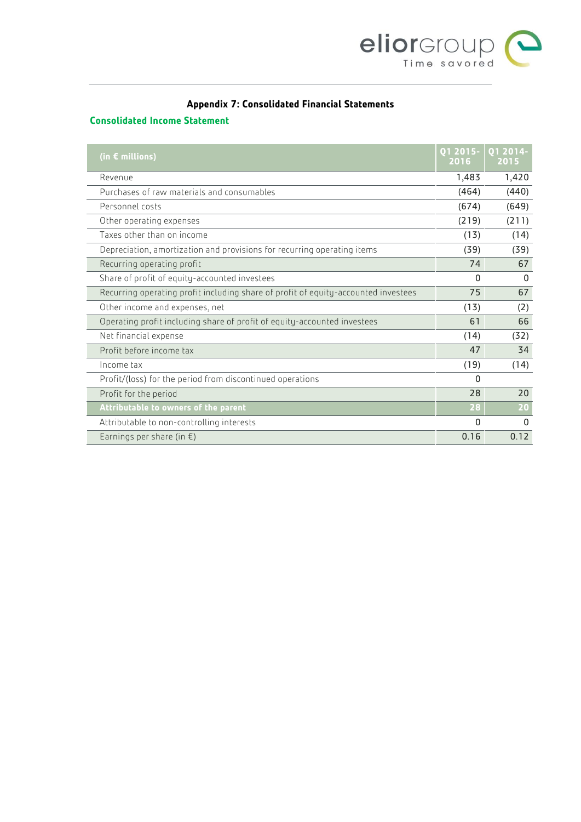

# **Appendix 7: Consolidated Financial Statements**

## **Consolidated Income Statement**

| (in $\epsilon$ millions)                                                           | Q1 2015-<br>2016 | 01 2014-<br>2015 |
|------------------------------------------------------------------------------------|------------------|------------------|
| Revenue                                                                            | 1,483            | 1,420            |
| Purchases of raw materials and consumables                                         | (464)            | (440)            |
| Personnel costs                                                                    | (674)            | (649)            |
| Other operating expenses                                                           | (219)            | (211)            |
| Taxes other than on income                                                         | (13)             | (14)             |
| Depreciation, amortization and provisions for recurring operating items            | (39)             | (39)             |
| Recurring operating profit                                                         | 74               | 67               |
| Share of profit of equity-accounted investees                                      | 0                | $\Omega$         |
| Recurring operating profit including share of profit of equity-accounted investees | 75               | 67               |
| Other income and expenses, net                                                     | (13)             | (2)              |
| Operating profit including share of profit of equity-accounted investees           | 61               | 66               |
| Net financial expense                                                              | (14)             | (32)             |
| Profit before income tax                                                           | 47               | 34               |
| Income tax                                                                         | (19)             | (14)             |
| Profit/(loss) for the period from discontinued operations                          | $\Omega$         |                  |
| Profit for the period                                                              | 28               | 20               |
| Attributable to owners of the parent                                               | 28               | 20               |
| Attributable to non-controlling interests                                          | $\Omega$         | $\Omega$         |
| Earnings per share (in $\xi$ )                                                     | 0.16             | 0.12             |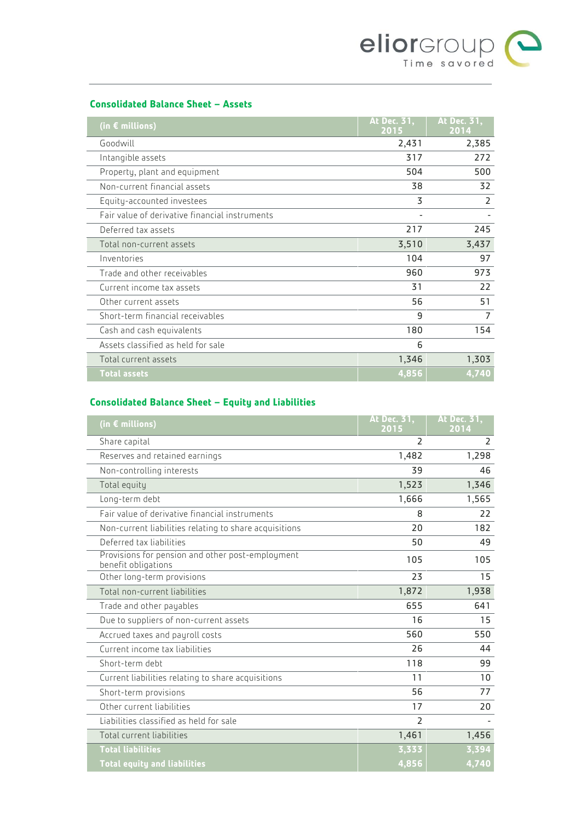

## **Consolidated Balance Sheet – Assets**

| (in $\epsilon$ millions)                       | At Dec. 31,<br>2015 | At Dec. 31,<br>2014 |
|------------------------------------------------|---------------------|---------------------|
| Goodwill                                       | 2,431               | 2,385               |
| Intangible assets                              | 317                 | 272                 |
| Property, plant and equipment                  | 504                 | 500                 |
| Non-current financial assets                   | 38                  | 32                  |
| Equity-accounted investees                     | 3                   | 2                   |
| Fair value of derivative financial instruments |                     |                     |
| Deferred tax assets                            | 217                 | 245                 |
| Total non-current assets                       | 3,510               | 3,437               |
| Inventories                                    | 104                 | 97                  |
| Trade and other receivables                    | 960                 | 973                 |
| Current income tax assets                      | 31                  | 22                  |
| Other current assets                           | 56                  | 51                  |
| Short-term financial receivables               | 9                   | 7                   |
| Cash and cash equivalents                      | 180                 | 154                 |
| Assets classified as held for sale             | 6                   |                     |
| Total current assets                           | 1,346               | 1,303               |
| <b>Total assets</b>                            | 4,856               | 4,740               |

# **Consolidated Balance Sheet – Equity and Liabilities**

| (in $\epsilon$ millions)                                                | At Dec. 31,<br>2015      | At Dec. 31,<br>2014 |
|-------------------------------------------------------------------------|--------------------------|---------------------|
| Share capital                                                           | $\overline{\phantom{0}}$ | $\overline{2}$      |
| Reserves and retained earnings                                          | 1,482                    | 1,298               |
| Non-controlling interests                                               | 39                       | 46                  |
| Total equity                                                            | 1,523                    | 1,346               |
| Long-term debt                                                          | 1,666                    | 1,565               |
| Fair value of derivative financial instruments                          | 8                        | 22                  |
| Non-current liabilities relating to share acquisitions                  | 20                       | 182                 |
| Deferred tax liabilities                                                | 50                       | 49                  |
| Provisions for pension and other post-employment<br>benefit obligations | 105                      | 105                 |
| Other long-term provisions                                              | 23                       | 15                  |
| Total non-current liabilities                                           | 1,872                    | 1,938               |
| Trade and other payables                                                | 655                      | 641                 |
| Due to suppliers of non-current assets                                  | 16                       | 15                  |
| Accrued taxes and payroll costs                                         | 560                      | 550                 |
| Current income tax liabilities                                          | 26                       | 44                  |
| Short-term debt                                                         | 118                      | 99                  |
| Current liabilities relating to share acquisitions                      | 11                       | 10                  |
| Short-term provisions                                                   | 56                       | 77                  |
| Other current liabilities                                               | 17                       | 20                  |
| Liabilities classified as held for sale                                 | $\overline{2}$           |                     |
| Total current liabilities                                               | 1,461                    | 1,456               |
| <b>Total liabilities</b>                                                | 3,333                    | 3,394               |
| <b>Total equity and liabilities</b>                                     | 4,856                    | 4,740               |